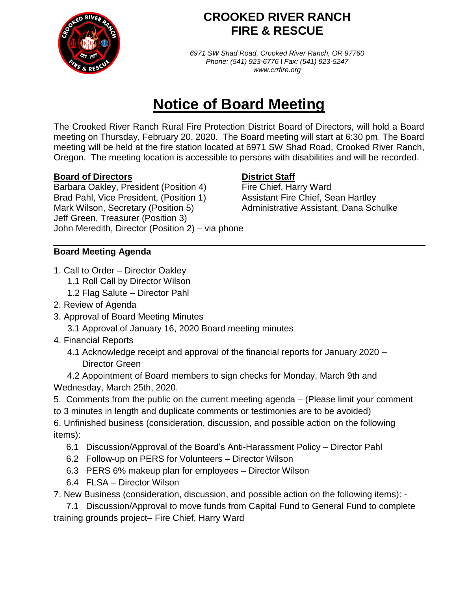

## **CROOKED RIVER RANCH FIRE & RESCUE**

*6971 SW Shad Road, Crooked River Ranch, OR 97760 Phone: (541) 923-6776* l *Fax: (541) 923-5247 www.crrfire.org*

# **Notice of Board Meeting**

The Crooked River Ranch Rural Fire Protection District Board of Directors, will hold a Board meeting on Thursday, February 20, 2020. The Board meeting will start at 6:30 pm. The Board meeting will be held at the fire station located at 6971 SW Shad Road, Crooked River Ranch, Oregon. The meeting location is accessible to persons with disabilities and will be recorded.

#### **Board of Directors District Staff**

Barbara Oakley, President (Position 4) Fire Chief, Harry Ward Brad Pahl, Vice President, (Position 1) Assistant Fire Chief, Sean Hartley Mark Wilson, Secretary (Position 5) Administrative Assistant, Dana Schulke Jeff Green, Treasurer (Position 3) John Meredith, Director (Position 2) – via phone

### **Board Meeting Agenda**

- 1. Call to Order Director Oakley
	- 1.1 Roll Call by Director Wilson
	- 1.2 Flag Salute Director Pahl
- 2. Review of Agenda
- 3. Approval of Board Meeting Minutes
	- 3.1 Approval of January 16, 2020 Board meeting minutes
- 4. Financial Reports
	- 4.1 Acknowledge receipt and approval of the financial reports for January 2020 Director Green

4.2 Appointment of Board members to sign checks for Monday, March 9th and Wednesday, March 25th, 2020.

- 5. Comments from the public on the current meeting agenda (Please limit your comment
- to 3 minutes in length and duplicate comments or testimonies are to be avoided)

6. Unfinished business (consideration, discussion, and possible action on the following items):

- 6.1 Discussion/Approval of the Board's Anti-Harassment Policy Director Pahl
- 6.2 Follow-up on PERS for Volunteers Director Wilson
- 6.3 PERS 6% makeup plan for employees Director Wilson
- 6.4 FLSA Director Wilson

7. New Business (consideration, discussion, and possible action on the following items): -

 7.1 Discussion/Approval to move funds from Capital Fund to General Fund to complete training grounds project– Fire Chief, Harry Ward